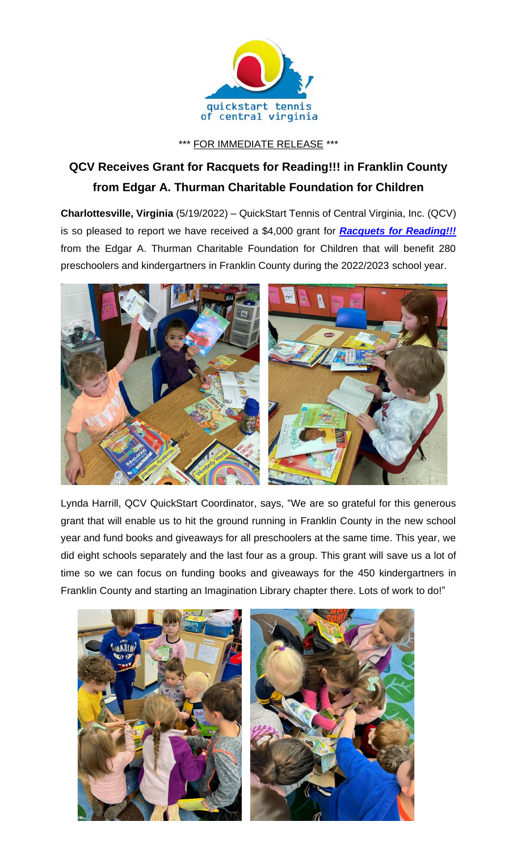

\*\*\* FOR IMMEDIATE RELEASE \*\*\*

## **QCV Receives Grant for Racquets for Reading!!! in Franklin County from Edgar A. Thurman Charitable Foundation for Children**

**Charlottesville, Virginia** (5/19/2022) – QuickStart Tennis of Central Virginia, Inc. (QCV) is so pleased to report we have received a \$4,000 grant for *[Racquets for Reading!!!](https://www.quickstartcentral.org/pages/index.cfm?siteid=23306)* from the Edgar A. Thurman Charitable Foundation for Children that will benefit 280 preschoolers and kindergartners in Franklin County during the 2022/2023 school year.



Lynda Harrill, QCV QuickStart Coordinator, says, "We are so grateful for this generous grant that will enable us to hit the ground running in Franklin County in the new school year and fund books and giveaways for all preschoolers at the same time. This year, we did eight schools separately and the last four as a group. This grant will save us a lot of time so we can focus on funding books and giveaways for the 450 kindergartners in Franklin County and starting an Imagination Library chapter there. Lots of work to do!"